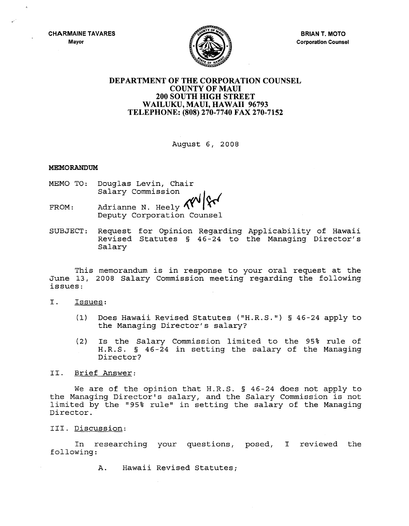**CHARMAINE TAVARES Mayor**



**BRIAN T. MOTO Corporation Counsel**

# **DEPARTMENT OF THE CORPORATION COUNSEL COUNTY OF MAUl 200 SOUTH HIGH STREET WAILUKU, MAUl, HAWAII 96793 TELEPHONE: (808) 270-7740 FAX 270-7152**

August 6, 2008

## **MEMORANDUM**

- MEMO TO: Douglas Levin, Chair Salary Commission
- FROM: Adrianne N. Heely  $\Lambda$ Deputy Corporation Counsel
- SUBJECT: Request for Opinion Regarding Applicability of Hawaii Revised Statutes § 46-24 to the Managing Director's Salary

This memorandum is in response to your oral request at the June 13, 2008 Salary Commission meeting regarding the following issues:

- I. Issues:
	- (1) Does Hawaii Revised Statutes ("H.R.S.") § 46-24 apply to the Managing Director's salary?
	- (2) Is the Salary Commission limited to the 95% rule of H.R.S. § 46-24 in setting the salary of the Managing Director?

## II. Brief Answer:

We are of the opinion that H.R.S. § 46-24 does not apply to the Managing Director's salary, and the Salary Commission is not limited by the "95% rule" in setting the salary of the Managing Director.

## III. Discussion:

In researching your questions, posed, I reviewed the following:

A. Hawaii Revised Statutes;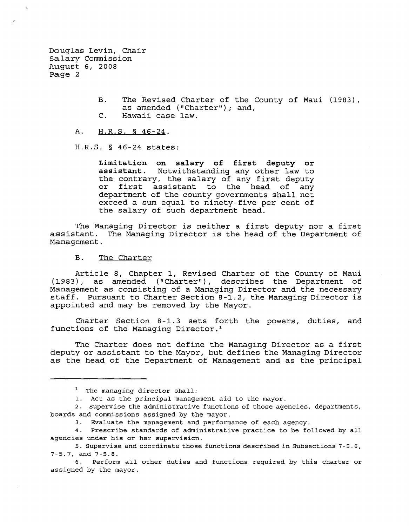Douglas Levin, Chair Salary Commission August 6, 2008 Page 2

> B. The Revised Charter of the County of Maui (1983), as amended ("Charter"); and, C. Hawaii case law.

A. H.R.S. § 46-24.

H.R.S. § 46-24 states:

**Limitation on salary of first deputy or assistant.** Notwithstanding any other law to the contrary, the salary of any first deputy<br>or first assistant to the head of any first assistant to the head of any department of the county governments shall not exceed a sum equal to ninety-five per cent of the salary of such department head.

The Managing Director is neither <sup>a</sup> first deputy nor <sup>a</sup> first assistant. The Managing Director is the head of the Department of Management.

#### B. The Charter

Article 8, Chapter 1, Revised Charter of the County of Maui (1983), as amended (" Charter"), describes the Department of Management as consisting of a Managing Director and the necessary staff. Pursuant to Charter Section 8-1.2, the Managing Director is appointed and may be removed by the Mayor.

Charter Section 8-1.3 sets forth the powers, duties, and functions of the Managing Director. <sup>1</sup>

The Charter does not define the Managing Director as <sup>a</sup> first deputy or assistant to the Mayor, but defines the Managing Director as the head of the Department of Management and as the principal

<sup>&</sup>lt;sup>1</sup> The managing director shall:

<sup>1.</sup> Act as the principal management aid to the mayor.

<sup>2.</sup> Supervise the administrative functions of those agencies, departments, boards and commissions assigned by the mayor.

<sup>3.</sup> Evaluate the management and performance of each agency.

<sup>4.</sup> Prescribe standards of administrative practice to be followed by all agencies under his or her supervision.

<sup>5.</sup> Supervise and coordinate those functions described in Subsections 7 - 5.6, 7-5.7, and 7-5.8.

<sup>6.</sup> Perform all other duties and functions required by this charter or assigned by the mayor.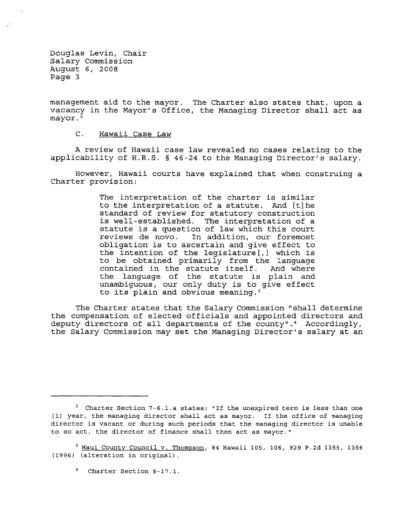Douglas Levin, Chair Salary Commission August 6, 2008 Page 3

management aid to the mayor. The Charter also states that, upon <sup>a</sup> vacancy in the Mayor's Office, the Managing Director shall act as mayor.<sup>2</sup>

C. Hawaii Case Law

A review of Hawaii case law revealed no cases relating to the applicability of H.R.S. § 46-24 to the Managing Director's salary.

However, Hawaii courts have explained that when construing a Charter provision:

> The interpretation of the charter is similar to the interpretation of <sup>a</sup> statute. And [t]he standard of review for statutory construction is well-established. The interpretation of <sup>a</sup> statute is <sup>a</sup> question of law which this court reviews de novo. In addition, our foremost obligation is to ascertain and give effect to the intention of the legislature[,] which is to be obtained primarily from the language contained in the statute itself. And where the language of the statute is plain and unambiguous, our only duty is to give effect to its plain and obvious meaning. <sup>3</sup>

The Charter states that the Salary Commission "shall determine the compensation of elected officials and appointed directors and deputy directors of all departments of the county". <sup>4</sup> Accordingly, the Salary Commission may set the Managing Director's salary at an

 $2$  Charter Section 7-6.1.a states: "If the unexpired term is less than one (1) year, the managing director shall act as mayor. If the office of managing director is vacant or during such periods that the managing director is unable to so act, the director of finance shall then act as mayor."

<sup>3</sup> Maui County Council v. Thompson, 84 Hawaii 105, 106, 929 P.2d 1355, 1356 (1996) (alteration in original) .

<sup>4</sup> Charter Section 8-17.1.